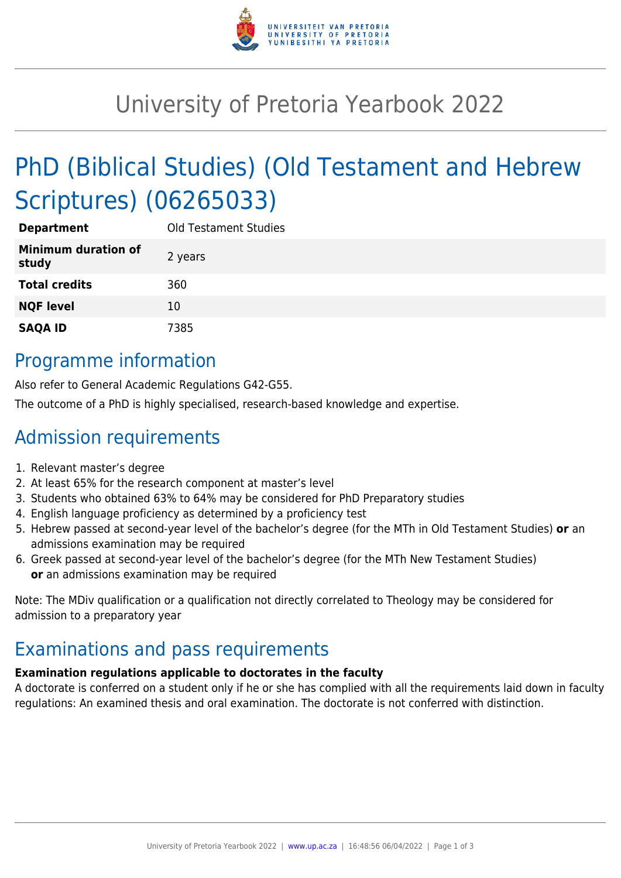

# University of Pretoria Yearbook 2022

# PhD (Biblical Studies) (Old Testament and Hebrew Scriptures) (06265033)

| <b>Department</b>                   | <b>Old Testament Studies</b> |
|-------------------------------------|------------------------------|
| <b>Minimum duration of</b><br>study | 2 years                      |
| <b>Total credits</b>                | 360                          |
| <b>NQF level</b>                    | 10                           |
| <b>SAQA ID</b>                      | 7385                         |

### Programme information

Also refer to General Academic Regulations G42-G55.

The outcome of a PhD is highly specialised, research-based knowledge and expertise.

# Admission requirements

- 1. Relevant master's degree
- 2. At least 65% for the research component at master's level
- 3. Students who obtained 63% to 64% may be considered for PhD Preparatory studies
- 4. English language proficiency as determined by a proficiency test
- 5. Hebrew passed at second-year level of the bachelor's degree (for the MTh in Old Testament Studies) **or** an admissions examination may be required
- 6. Greek passed at second-year level of the bachelor's degree (for the MTh New Testament Studies) **or** an admissions examination may be required

Note: The MDiv qualification or a qualification not directly correlated to Theology may be considered for admission to a preparatory year

## Examinations and pass requirements

#### **Examination regulations applicable to doctorates in the faculty**

A doctorate is conferred on a student only if he or she has complied with all the requirements laid down in faculty regulations: An examined thesis and oral examination. The doctorate is not conferred with distinction.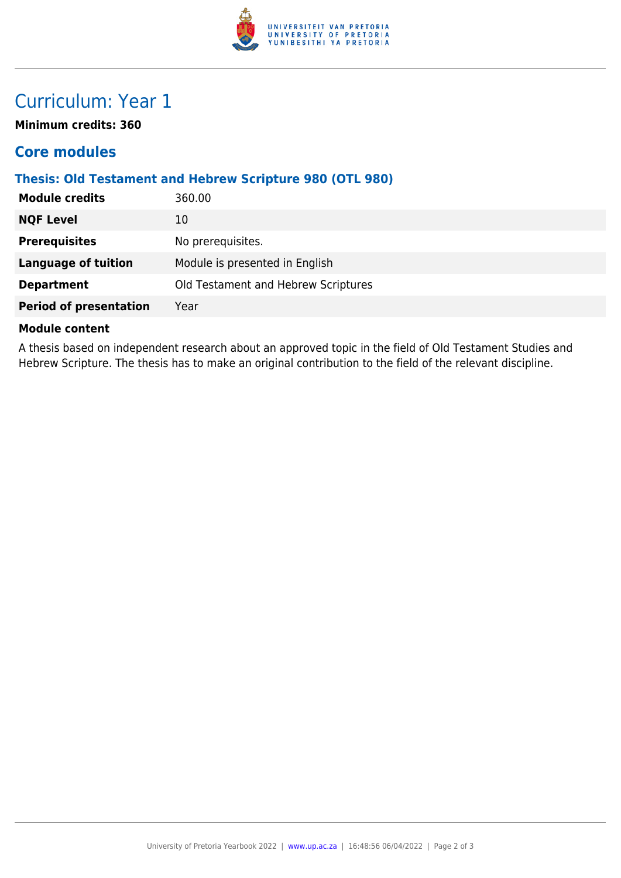

# Curriculum: Year 1

**Minimum credits: 360**

### **Core modules**

### **Thesis: Old Testament and Hebrew Scripture 980 (OTL 980)**

| <b>Module credits</b>         | 360.00                              |
|-------------------------------|-------------------------------------|
| <b>NQF Level</b>              | 10                                  |
| <b>Prerequisites</b>          | No prerequisites.                   |
| <b>Language of tuition</b>    | Module is presented in English      |
| <b>Department</b>             | Old Testament and Hebrew Scriptures |
| <b>Period of presentation</b> | Year                                |
|                               |                                     |

#### **Module content**

A thesis based on independent research about an approved topic in the field of Old Testament Studies and Hebrew Scripture. The thesis has to make an original contribution to the field of the relevant discipline.